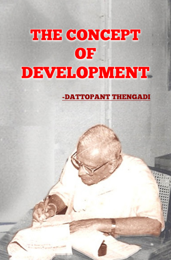# THE CONCEPT **OF DEVELOPMENT**

-DATTOPANT THENGADI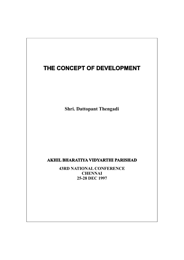## THE CONCEPT OF DEVELOPMENT

Shri. Dattopant Thengadi

### AKHIL BHARATIYA VIDYARTHI PARISHAD

43RD NATIONAL CONFERENCE **CHENNAI** 25-28 DEC 1997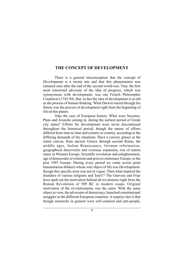#### THE CONCEPT OF DEVELOPMENT

There is a general misconception that the concept of Development is a recent one and that this phenomenon was initiated only after the end of the second world-war. True, the first most renowned advocate of the idea of progress, which was synonymous with development, was one French Philosopher Condorcet (1743-94). But, in fact the idea of development is as old as the process of human thinking. What Darwin traced through his theory was the process of development right from the beginning of life on this planet.

Take the case of European history. What were Socrates, Plato and Aristotle aiming at, during the earliest period of Greek city states? Efforts for development were never discontinued throughout the historical period, though the nature of efforts differed from time to time and country to country, according to the differing demands of the situations. Have a cursory glance at the entire canvas, from ancient Greece through ancient Rome, the middle ages, Italian Renaissance, German reformation, geographical discoveries and overseas expansion, rise of nation states in Western Europe, Scientific revolution and enlightenment, age of democratic revolutions and post revolutionary Europe, to the post 1945 Europe. During every period we come across great humanitarian thinkers whose sole object of life was Developmentthough this specific term was not in vogue. Then what inspired the founders of various religions and 'Ism's'? The Guevara and Friar have spelt out the motivation behind all revolutions-right from the Roman Revolution of 509 BC to modern coups. Original motivation of the revolutionaries was the same. With the same object in view, the advocates of democracy, launched constitutional struggles in the different European countries. A surprise fact is that though monarchs in general were self-centered and anti-people,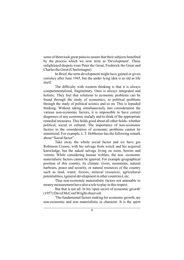some of them took great pains to ensure that their subjects benefited by the process which we now term as 'Development'. These enlightened despots were Peter the Great, Frederick the Great and Charles the Great (Charlemagne).

In Brief, the term development might have gained or given currency after June 1945, but the under lying idea is as old as life itself.

The difficulty with western thinking is that it is always compartmentalized, fragmentary. Ours is always integrated and holistic. They feel that solutions to economic problems can be found through the study of economics, to political problems through the study of political science and so on. This is lopsided thinking. Without taking simultaneously into consideration the various non-economic factors, it is impossible to have correct diagnoses of any economic malady and to think of the appropriate remedial measures. This holds good about all other fields- whether political, social or cultural. The importance of non-economic factors in the consideration of economic problems cannot be minimized. For example, L.T. Hobhouse has the following remark about "Social factor".

Take away the whole social factor and we have got Robinson Crusoe, with his salvage from wreck and his acquired knowledge, but the naked salvage living on roots, berries and vermin. While considering human welfare, the non -economic materialistic factors cannot be ignored. For example geographical position of this country, its climate, rivers, mountains, natural harbours, peace and security, or natural resources of the country such as land, water, forests, mineral resources, agricultural potentialities, (general development in other countries), etc.

Thus non-economic materialistic factors not amenable to money measurement have also a role to play in this respect.

But that is not all. In his 'open secret of economic growth' (1957) David McCord Wright observed:

'The fundamental factors making for economic growth, are non-economic and non materialistic in character. It is the spirit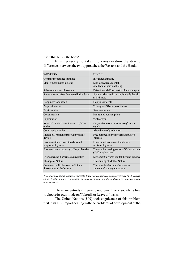itself that builds the body'.

It is necessary to take into consideration the drastic differences between the two approaches, the Western and the Hindu.

| <b>WESTERN</b>                                                     | <b>HINDU</b>                                                              |
|--------------------------------------------------------------------|---------------------------------------------------------------------------|
| Compartmentalized thinking                                         | Integrated thinking                                                       |
| Man-a mere material being                                          | Man-a physical, mental,<br>intellectual-spiritual being                   |
| Subservience to artha-kama                                         | Drive towards Purushartha chathushtayam                                   |
| Society, a club of self-centered individuals.                      | Society, a body with all individuals therein<br>as its limbs.             |
| Happiness for oneself                                              | Happiness for all                                                         |
| Acquisitiveness                                                    | 'Aparigraha' (Non-possession)                                             |
| Profit-motive                                                      | Service motive                                                            |
| Consumerism                                                        | Restrained consumption                                                    |
| Exploitation                                                       | 'Antyodaya'                                                               |
| Rights-Oriented consciousness of others'<br>duties                 | Duty-oriented consciousness of others<br>rights                           |
| Contrived scarcities                                               | Abundance of production                                                   |
| Monopoly capitalism through various<br>device                      | Free competition without manipulated<br>markets                           |
| Economic theories centered around<br>wage-employment               | Economic theories centered round<br>self-employment.                      |
| An ever-increasing army of the proletariat                         | The ever increasing sector of Vishva karma<br>(Self-employment)           |
| Ever widening disparities with quality                             | Movement towards equitability and equality                                |
| The rape of Nature                                                 | The milking of Mother Nature                                              |
| Constant conflict between individual<br>the society and the Nature | The complete harmony between an<br><i>individual, society</i> and nature. |

\*For example, agents, brands, copyrights, trade names, licenses, quotas, protective tariff, cartels, pools, trusts, holding companies, or inter-corporate boards of directors, inter-corporate investments, etc.

These are entirely different paradigms. Every society is free to choose its own mode on 'Take all, or Leave all' basis.

The United Nations (UN) took cognizance of this problem first in its 1951 report dealing with the problems of development of the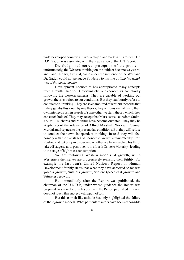underdeveloped countries. It was a major landmark in this respect. Dr. D.R. Gadgil was associated with the preparation of that UN Report.

Dr. Gadgil had correct perception of the problem, unfortunately, the Western thinking on the subject became wayward, and Pandit Nehru, as usual, came under the influence of the West and Dr. Gadgil could not persuade Pt. Nehru to his line of thinking which was of the earth, earthly.

Development Economics has appropriated many concepts from Growth Theories. Unfortunately, our economists are blindly following the western patterns. They are capable of working out growth theories suited to our conditions. But they stubbornly refuse to conduct self-thinking. They are so enamoured of western theorists that if they get disillusioned by one theory, they will, instead of using their own intellect, rush in search of some other western theory which they can catch hold of. They may accept that Marx as well as Adam Smith, J.S. Mill, Richards and Malthus have become outdated. They may be skeptic about the relevance of Alfred Marshall, Wicksell, Gunner Myrdal and Keynes, to the present day conditions. But they will refuse to conduct their own independent thinking. Instead they will feel homely with the five stages of Economic Growth enumerated by Prof. Rostow and get busy in discussing whether we have reached his third, take off stage so as to pass over to his fourth Drive to Maturity, leading to the stage of high mass consumption.

We are following Western models of growth, while Westerners themselves are progressively realising their futility. For example the last year's United Nation's Report on Human Development frankly states that what they have achieved so far was 'jobless growth', 'ruthless growth', 'violent (peaceless) growth' and 'futureless growth'.

But immediately after the Report was published, the chairman of the U.N.D.P., under whose guidance the Report was prepared was asked to quit his post, and the Report published this year does not touch this subject with a pair of ton.

But this ostrich-like attitude has only highlighted the failure of their growth models. What particular factors have been responsible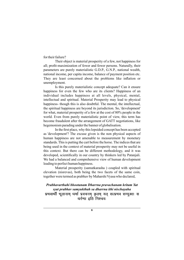for their failure?

Their object is material prosperity of a few, not happiness for all; profit-maximization of fewer and fewer persons. Naturally, their parameters are purely materialistic G.D.P., G.N.P., national wealth, national income, per capita income, balance of payment position etc. They are least concerned about the problems like inflation or unemployment.

Is this purely materialistic concept adequate? Can it ensure happiness for even the few who are its clients? Happiness of an individual includes happiness at all levels, physical, mental, intellectual and spiritual. Material Prosperity may lead to physical happiness- though this is also doubtful. The mental, the intellectual, the spiritual happiness are beyond its jurisdiction. So, 'development' for what, material prosperity of a few at the cost of 80% people in the world. Even from purely materialistic point of view, this term has become fraudulent after the arrangement of GATT negotiations, like hegemonism parading under the banner of globalisation.

In the first place, why this lopsided concept has been accepted as 'development'? The excuse given is the non physical aspects of human happiness are not amenable to measurement by monetary standards. This is putting the cart before the horse. The indices that are being used in the context of material prosperity may not be useful in this context. But there can be different methodology, and it was developed, scientifically in our country by thinkers led by Patanjali. We had a balanced and comprehensive view of human development leading to perfect human happiness.

Material prosperity (samutkarasha ) coupled with spiritual elevation (nisrevas), both being the two facets of the same coin, together were termed as prabhav by Maharshi Vyasa who declared,

## Prabhavarthahi bhootanam Dharrna pravachanam kritam Yat syat prabhav samyukthah sa dharrna ithi nischayaha

धर्रणा इति निश्चयः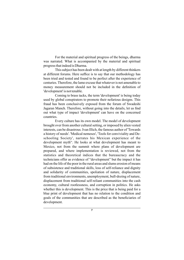For the material and spiritual progress of the beings, dharma was narrated. What is accompanied by the material and spiritual progress that indeed is Dharma.

This subject has been dealt with at length by different thinkers at different forums. Here suffice is to say that our methodology has been tried and tested and found to be perfect after the experience of centuries. Therefore, the lame excuse that whatever is not amenable to money measurement should not be included in the definition of 'development' is not tenable.

Coming to brass tacks, the term 'development' is being today used by global conspirators to promote their nefarious designs. This fraud has been conclusively exposed from the forum of Swadeshi Jagaran Manch. Therefore, without going into the details, let us find out what type of impact 'development' can have on the concerned countries.

Every culture has its own model. The model of development brought over from another cultural setting, or imposed by alien vested interests, can be disastrous. Ivan Illich, the famous author of 'Towards a history of needs'. 'Medical nemeses', 'Tools for conviviality and Deschooling Society', narrates his Mexican experience of the development myth". He looks at what development has meant to Mexico, not from the summit where plans of development are prepared, and where implementation is reviewed, not from the statistics and theoretical indices that the bureaucracy and the technicians offer as evidence of "development" but the impact it has had on the life of the poor in the rural areas and slums erosion of means of subsistence and traditional skills, loss of self-reliance and dignity and solidarity of communities, spoliation of nature, displacement from traditional environments, unemployment, bull-dozing of nature, displacement from traditional self-reliant communities into the cash economy, cultural rootlessness, and corruption in politics. He asks whether this is development. This is the price that is being paid for a blue print of development that has no relation to the condition and goals of the communities that are described as the beneficiaries of development.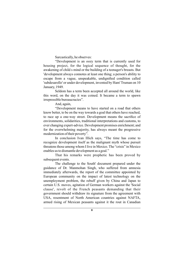Sarcastically, he observes:

"Development is an oozy term that is currently used for housing project, for the logical sequence of thought, for the awakening of child s mind or the building of a teenager's breasts. But 'development always connotes at least one thing; a person's ability to escape from a vague, unspeakable, undignified condition called 'subdesarollo' or under development, invented by Ham' Truman on 10 January, 1949.

Seldom has a term been accepted all around the world, like this word, on the day it was coined. It became a term to spawn irrepressible bureaucracies".

And, again,

"Development means to have started on a road that others know better, to be on the way towards a goal that others have reached, to race up a one-way street. Development means the sacrifice of environments, solidarities, traditional interpretations and customs, to ever changing expert-advice. Development promises enrichment; and for the overwhelming majority, has always meant the progressive modernization of their poverty".

In conclusion Ivan Illich says, "The time has come to recognize development itself as the malignant myth whose pursuit threatens those among whom I live in Mexico. The "crisis" in Mexico enables us to dismantle development as a goal."

That his remarks were prophetic has been proved by subsequent events.

The challenge to the South' document prepared under the guidance of Dr. Manmohan Singh, who suffered from amnesia immediately afterwards, the report of the committee appointed by European community on the impact of latest technology on the unemployment problem, the rebuff given by China and Japan to certain U.S. moves, agitation of German workers against the 'Social clause', revolt of the French peasants demanding that their government should withdraw its signature from the agreement with USA, resentment of North American countries against NAFTA, armed rising of Mexican peasants against it the rout in Canadian